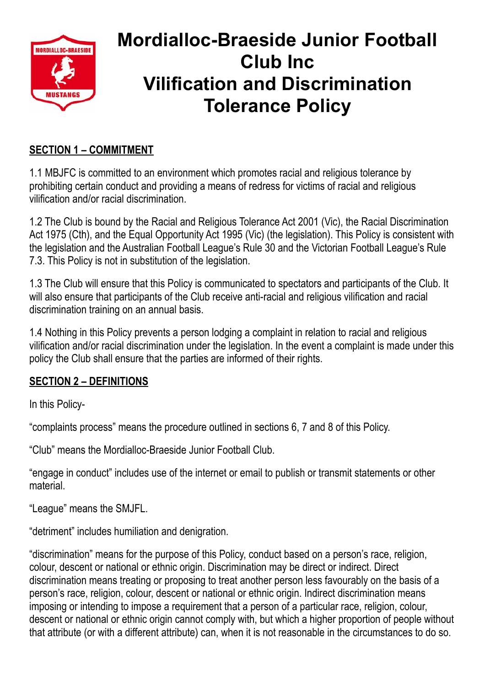

# **Mordialloc-Braeside Junior Football Club Inc Vilification and Discrimination Tolerance Policy**

# **SECTION 1 – COMMITMENT**

1.1 MBJFC is committed to an environment which promotes racial and religious tolerance by prohibiting certain conduct and providing a means of redress for victims of racial and religious vilification and/or racial discrimination.

1.2 The Club is bound by the Racial and Religious Tolerance Act 2001 (Vic), the Racial Discrimination Act 1975 (Cth), and the Equal Opportunity Act 1995 (Vic) (the legislation). This Policy is consistent with the legislation and the Australian Football League's Rule 30 and the Victorian Football League's Rule 7.3. This Policy is not in substitution of the legislation.

1.3 The Club will ensure that this Policy is communicated to spectators and participants of the Club. It will also ensure that participants of the Club receive anti-racial and religious vilification and racial discrimination training on an annual basis.

1.4 Nothing in this Policy prevents a person lodging a complaint in relation to racial and religious vilification and/or racial discrimination under the legislation. In the event a complaint is made under this policy the Club shall ensure that the parties are informed of their rights.

# **SECTION 2 – DEFINITIONS**

In this Policy-

"complaints process" means the procedure outlined in sections 6, 7 and 8 of this Policy.

"Club" means the Mordialloc-Braeside Junior Football Club.

"engage in conduct" includes use of the internet or email to publish or transmit statements or other material.

"League" means the SMJFL.

"detriment" includes humiliation and denigration.

"discrimination" means for the purpose of this Policy, conduct based on a person's race, religion, colour, descent or national or ethnic origin. Discrimination may be direct or indirect. Direct discrimination means treating or proposing to treat another person less favourably on the basis of a person's race, religion, colour, descent or national or ethnic origin. Indirect discrimination means imposing or intending to impose a requirement that a person of a particular race, religion, colour, descent or national or ethnic origin cannot comply with, but which a higher proportion of people without that attribute (or with a different attribute) can, when it is not reasonable in the circumstances to do so.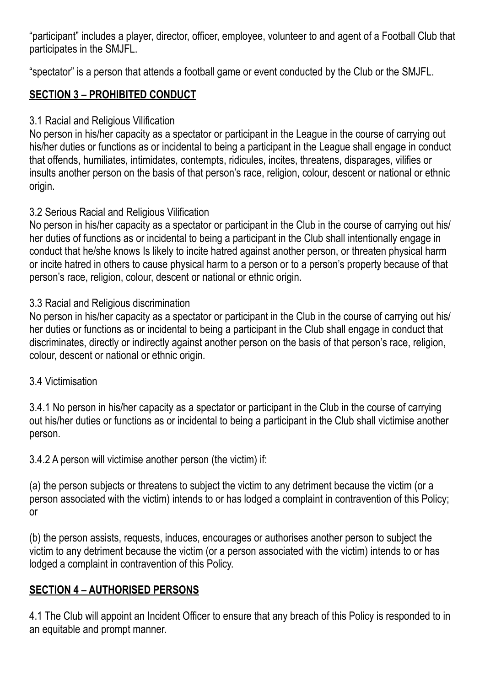"participant" includes a player, director, officer, employee, volunteer to and agent of a Football Club that participates in the SMJFL.

"spectator" is a person that attends a football game or event conducted by the Club or the SMJFL.

# **SECTION 3 – PROHIBITED CONDUCT**

#### 3.1 Racial and Religious Vilification

No person in his/her capacity as a spectator or participant in the League in the course of carrying out his/her duties or functions as or incidental to being a participant in the League shall engage in conduct that offends, humiliates, intimidates, contempts, ridicules, incites, threatens, disparages, vilifies or insults another person on the basis of that person's race, religion, colour, descent or national or ethnic origin.

#### 3.2 Serious Racial and Religious Vilification

No person in his/her capacity as a spectator or participant in the Club in the course of carrying out his/ her duties of functions as or incidental to being a participant in the Club shall intentionally engage in conduct that he/she knows Is likely to incite hatred against another person, or threaten physical harm or incite hatred in others to cause physical harm to a person or to a person's property because of that person's race, religion, colour, descent or national or ethnic origin.

#### 3.3 Racial and Religious discrimination

No person in his/her capacity as a spectator or participant in the Club in the course of carrying out his/ her duties or functions as or incidental to being a participant in the Club shall engage in conduct that discriminates, directly or indirectly against another person on the basis of that person's race, religion, colour, descent or national or ethnic origin.

#### 3.4 Victimisation

3.4.1 No person in his/her capacity as a spectator or participant in the Club in the course of carrying out his/her duties or functions as or incidental to being a participant in the Club shall victimise another person.

3.4.2 A person will victimise another person (the victim) if:

(a) the person subjects or threatens to subject the victim to any detriment because the victim (or a person associated with the victim) intends to or has lodged a complaint in contravention of this Policy; or

(b) the person assists, requests, induces, encourages or authorises another person to subject the victim to any detriment because the victim (or a person associated with the victim) intends to or has lodged a complaint in contravention of this Policy.

# **SECTION 4 – AUTHORISED PERSONS**

4.1 The Club will appoint an Incident Officer to ensure that any breach of this Policy is responded to in an equitable and prompt manner.